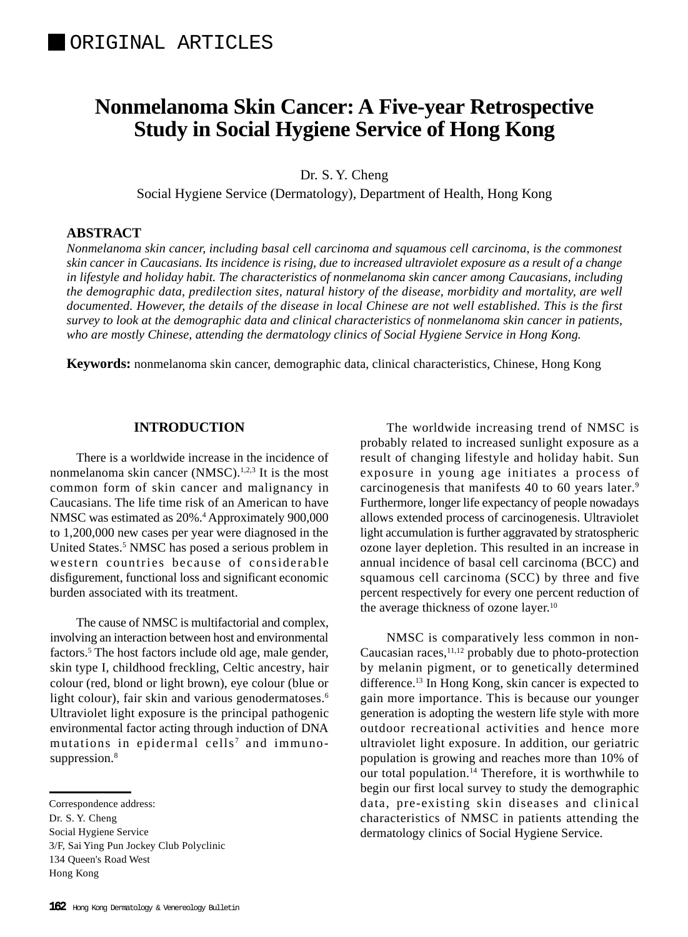# **Nonmelanoma Skin Cancer: A Five-year Retrospective Study in Social Hygiene Service of Hong Kong**

Dr. S. Y. Cheng

Social Hygiene Service (Dermatology), Department of Health, Hong Kong

# **ABSTRACT**

*Nonmelanoma skin cancer, including basal cell carcinoma and squamous cell carcinoma, is the commonest skin cancer in Caucasians. Its incidence is rising, due to increased ultraviolet exposure as a result of a change in lifestyle and holiday habit. The characteristics of nonmelanoma skin cancer among Caucasians, including the demographic data, predilection sites, natural history of the disease, morbidity and mortality, are well documented. However, the details of the disease in local Chinese are not well established. This is the first survey to look at the demographic data and clinical characteristics of nonmelanoma skin cancer in patients, who are mostly Chinese, attending the dermatology clinics of Social Hygiene Service in Hong Kong.*

**Keywords:** nonmelanoma skin cancer, demographic data, clinical characteristics, Chinese, Hong Kong

# **INTRODUCTION**

There is a worldwide increase in the incidence of nonmelanoma skin cancer (NMSC).<sup>1,2,3</sup> It is the most common form of skin cancer and malignancy in Caucasians. The life time risk of an American to have NMSC was estimated as 20%.<sup>4</sup> Approximately 900,000 to 1,200,000 new cases per year were diagnosed in the United States.<sup>5</sup> NMSC has posed a serious problem in western countries because of considerable disfigurement, functional loss and significant economic burden associated with its treatment.

The cause of NMSC is multifactorial and complex, involving an interaction between host and environmental factors.<sup>5</sup> The host factors include old age, male gender, skin type I, childhood freckling, Celtic ancestry, hair colour (red, blond or light brown), eye colour (blue or light colour), fair skin and various genodermatoses.<sup>6</sup> Ultraviolet light exposure is the principal pathogenic environmental factor acting through induction of DNA mutations in epidermal cells<sup>7</sup> and immunosuppression.<sup>8</sup>

The worldwide increasing trend of NMSC is probably related to increased sunlight exposure as a result of changing lifestyle and holiday habit. Sun exposure in young age initiates a process of carcinogenesis that manifests 40 to 60 years later.<sup>9</sup> Furthermore, longer life expectancy of people nowadays allows extended process of carcinogenesis. Ultraviolet light accumulation is further aggravated by stratospheric ozone layer depletion. This resulted in an increase in annual incidence of basal cell carcinoma (BCC) and squamous cell carcinoma (SCC) by three and five percent respectively for every one percent reduction of the average thickness of ozone layer.<sup>10</sup>

NMSC is comparatively less common in non-Caucasian races, $11,12$  probably due to photo-protection by melanin pigment, or to genetically determined difference.13 In Hong Kong, skin cancer is expected to gain more importance. This is because our younger generation is adopting the western life style with more outdoor recreational activities and hence more ultraviolet light exposure. In addition, our geriatric population is growing and reaches more than 10% of our total population.14 Therefore, it is worthwhile to begin our first local survey to study the demographic data, pre-existing skin diseases and clinical characteristics of NMSC in patients attending the dermatology clinics of Social Hygiene Service.

Correspondence address:

Dr. S. Y. Cheng

Social Hygiene Service

<sup>3/</sup>F, Sai Ying Pun Jockey Club Polyclinic 134 Queen's Road West

Hong Kong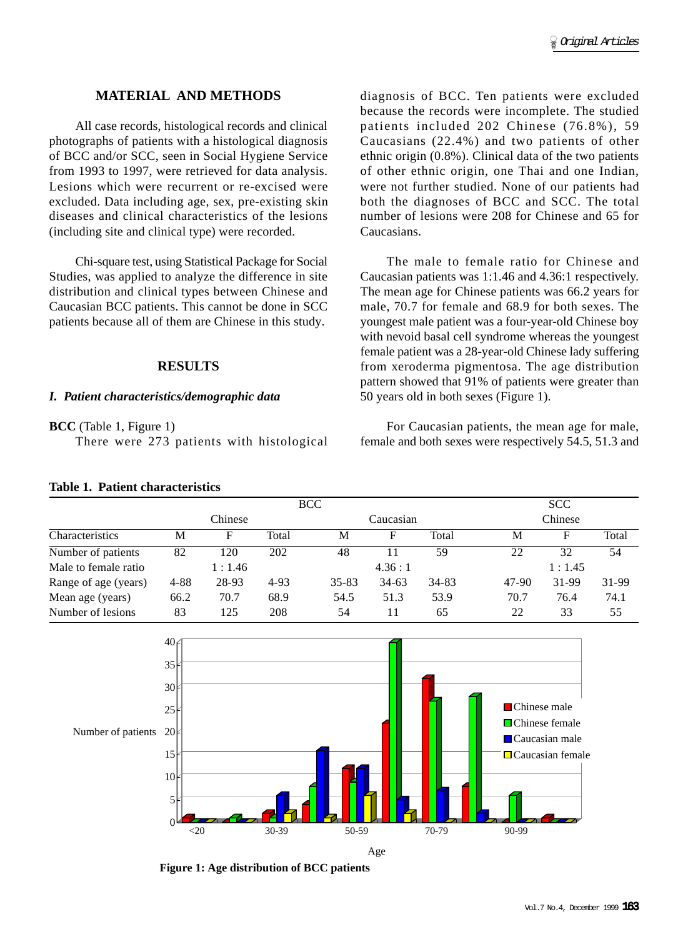# **MATERIAL AND METHODS**

All case records, histological records and clinical photographs of patients with a histological diagnosis of BCC and/or SCC, seen in Social Hygiene Service from 1993 to 1997, were retrieved for data analysis. Lesions which were recurrent or re-excised were excluded. Data including age, sex, pre-existing skin diseases and clinical characteristics of the lesions (including site and clinical type) were recorded.

Chi-square test, using Statistical Package for Social Studies, was applied to analyze the difference in site distribution and clinical types between Chinese and Caucasian BCC patients. This cannot be done in SCC patients because all of them are Chinese in this study.

#### **RESULTS**

#### *I. Patient characteristics/demographic data*

#### **BCC** (Table 1, Figure 1)

There were 273 patients with histological

### **Table 1. Patient characteristics**

diagnosis of BCC. Ten patients were excluded because the records were incomplete. The studied patients included 202 Chinese (76.8%), 59 Caucasians (22.4%) and two patients of other ethnic origin (0.8%). Clinical data of the two patients of other ethnic origin, one Thai and one Indian, were not further studied. None of our patients had both the diagnoses of BCC and SCC. The total number of lesions were 208 for Chinese and 65 for Caucasians.

The male to female ratio for Chinese and Caucasian patients was 1:1.46 and 4.36:1 respectively. The mean age for Chinese patients was 66.2 years for male, 70.7 for female and 68.9 for both sexes. The youngest male patient was a four-year-old Chinese boy with nevoid basal cell syndrome whereas the youngest female patient was a 28-year-old Chinese lady suffering from xeroderma pigmentosa. The age distribution pattern showed that 91% of patients were greater than 50 years old in both sexes (Figure 1).

For Caucasian patients, the mean age for male, female and both sexes were respectively 54.5, 51.3 and

|                      |          |       | <b>BCC</b> | <b>SCC</b> |         |       |         |        |       |  |  |  |  |
|----------------------|----------|-------|------------|------------|---------|-------|---------|--------|-------|--|--|--|--|
| Characteristics      | Chinese  |       |            | Caucasian  |         |       | Chinese |        |       |  |  |  |  |
|                      | М        | F     | Total      | М          | F       | Total | М       | F      | Total |  |  |  |  |
| Number of patients   | 82       | 120   | 202        | 48         | 11      | 59    | 22      | 32     | 54    |  |  |  |  |
| Male to female ratio | 1:1.46   |       |            |            | 4.36:1  |       |         | 1:1.45 |       |  |  |  |  |
| Range of age (years) | $4 - 88$ | 28-93 | 4-93       | $35 - 83$  | $34-63$ | 34-83 | 47-90   | 31-99  | 31-99 |  |  |  |  |
| Mean age (years)     | 66.2     | 70.7  | 68.9       | 54.5       | 51.3    | 53.9  | 70.7    | 76.4   | 74.1  |  |  |  |  |
| Number of lesions    | 83       | 125   | 208        | 54         | 11      | 65    | 22      | 33     | 55    |  |  |  |  |



**Figure 1: Age distribution of BCC patients**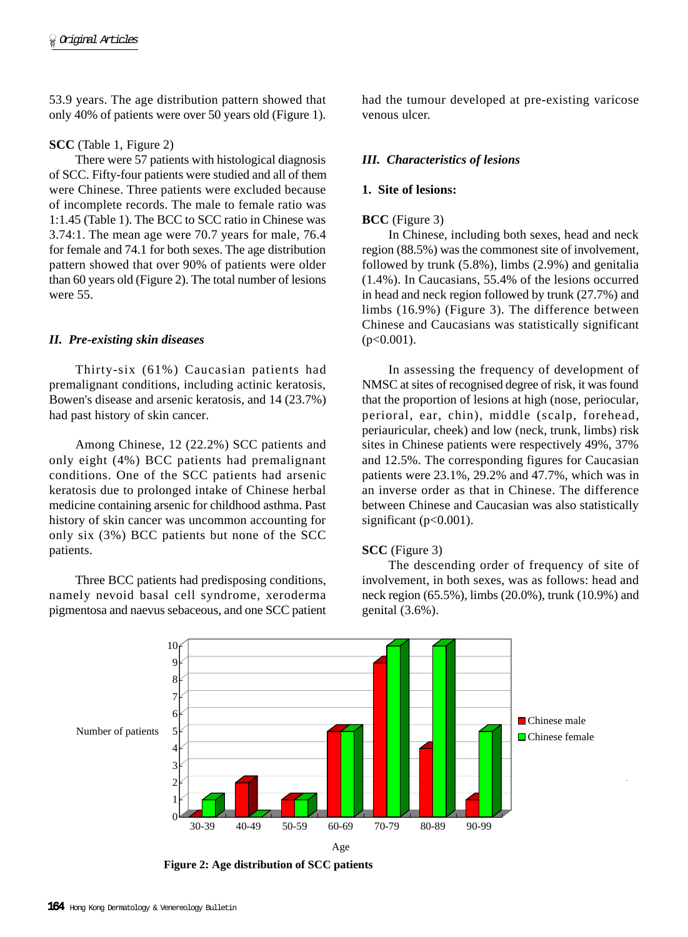53.9 years. The age distribution pattern showed that only 40% of patients were over 50 years old (Figure 1).

#### **SCC** (Table 1, Figure 2)

There were 57 patients with histological diagnosis of SCC. Fifty-four patients were studied and all of them were Chinese. Three patients were excluded because of incomplete records. The male to female ratio was 1:1.45 (Table 1). The BCC to SCC ratio in Chinese was 3.74:1. The mean age were 70.7 years for male, 76.4 for female and 74.1 for both sexes. The age distribution pattern showed that over 90% of patients were older than 60 years old (Figure 2). The total number of lesions were 55.

#### *II. Pre-existing skin diseases*

Thirty-six (61%) Caucasian patients had premalignant conditions, including actinic keratosis, Bowen's disease and arsenic keratosis, and 14 (23.7%) had past history of skin cancer.

Among Chinese, 12 (22.2%) SCC patients and only eight (4%) BCC patients had premalignant conditions. One of the SCC patients had arsenic keratosis due to prolonged intake of Chinese herbal medicine containing arsenic for childhood asthma. Past history of skin cancer was uncommon accounting for only six (3%) BCC patients but none of the SCC patients.

Three BCC patients had predisposing conditions, namely nevoid basal cell syndrome, xeroderma pigmentosa and naevus sebaceous, and one SCC patient had the tumour developed at pre-existing varicose venous ulcer.

## *III. Characteristics of lesions*

#### **1. Site of lesions:**

#### **BCC** (Figure 3)

In Chinese, including both sexes, head and neck region (88.5%) was the commonest site of involvement, followed by trunk (5.8%), limbs (2.9%) and genitalia (1.4%). In Caucasians, 55.4% of the lesions occurred in head and neck region followed by trunk (27.7%) and limbs (16.9%) (Figure 3). The difference between Chinese and Caucasians was statistically significant  $(p<0.001)$ .

In assessing the frequency of development of NMSC at sites of recognised degree of risk, it was found that the proportion of lesions at high (nose, periocular, perioral, ear, chin), middle (scalp, forehead, periauricular, cheek) and low (neck, trunk, limbs) risk sites in Chinese patients were respectively 49%, 37% and 12.5%. The corresponding figures for Caucasian patients were 23.1%, 29.2% and 47.7%, which was in an inverse order as that in Chinese. The difference between Chinese and Caucasian was also statistically significant ( $p<0.001$ ).

#### **SCC** (Figure 3)

The descending order of frequency of site of involvement, in both sexes, was as follows: head and neck region (65.5%), limbs (20.0%), trunk (10.9%) and genital (3.6%).



**Figure 2: Age distribution of SCC patients**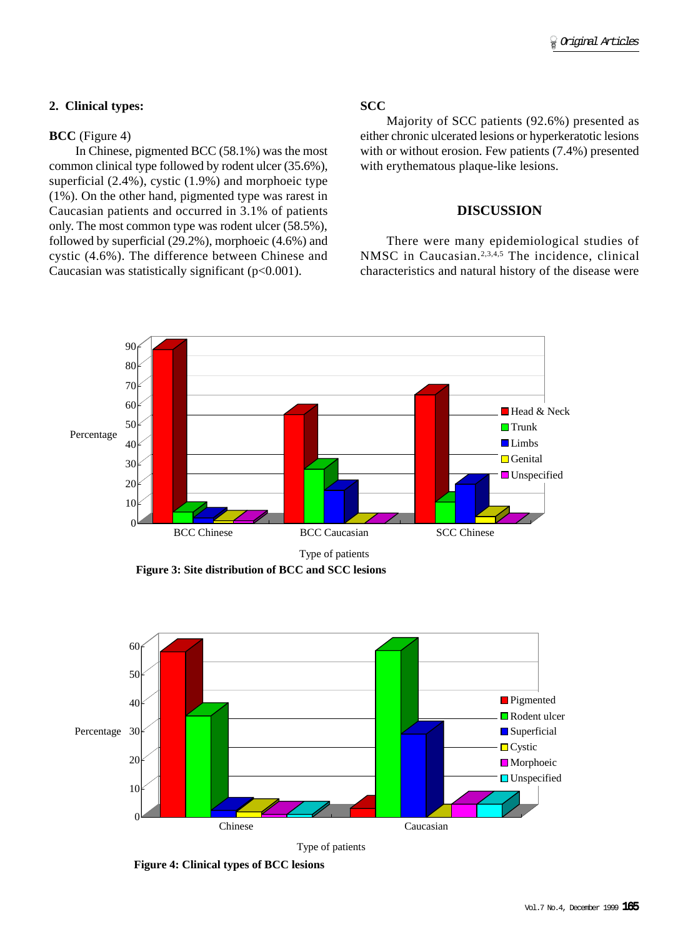## **2. Clinical types:**

### **BCC** (Figure 4)

In Chinese, pigmented BCC (58.1%) was the most common clinical type followed by rodent ulcer (35.6%), superficial (2.4%), cystic (1.9%) and morphoeic type (1%). On the other hand, pigmented type was rarest in Caucasian patients and occurred in 3.1% of patients only. The most common type was rodent ulcer (58.5%), followed by superficial (29.2%), morphoeic (4.6%) and cystic (4.6%). The difference between Chinese and Caucasian was statistically significant  $(p<0.001)$ .

## **SCC**

Majority of SCC patients (92.6%) presented as either chronic ulcerated lesions or hyperkeratotic lesions with or without erosion. Few patients (7.4%) presented with erythematous plaque-like lesions.

### **DISCUSSION**

There were many epidemiological studies of NMSC in Caucasian.<sup>2,3,4,5</sup> The incidence, clinical characteristics and natural history of the disease were



**Figure 3: Site distribution of BCC and SCC lesions**



Type of patients

**Figure 4: Clinical types of BCC lesions**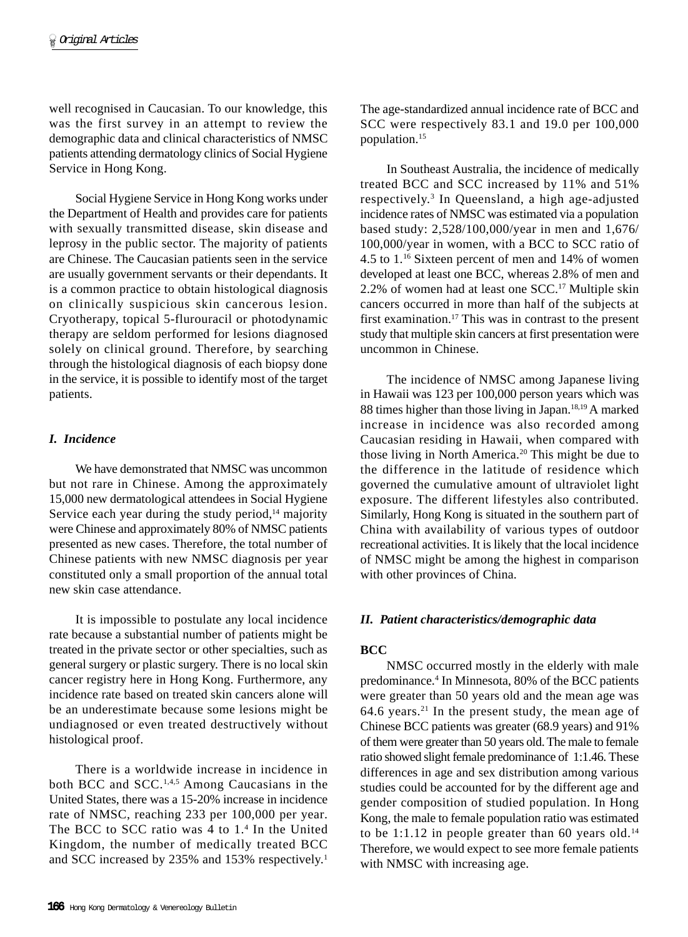well recognised in Caucasian. To our knowledge, this was the first survey in an attempt to review the demographic data and clinical characteristics of NMSC patients attending dermatology clinics of Social Hygiene Service in Hong Kong.

Social Hygiene Service in Hong Kong works under the Department of Health and provides care for patients with sexually transmitted disease, skin disease and leprosy in the public sector. The majority of patients are Chinese. The Caucasian patients seen in the service are usually government servants or their dependants. It is a common practice to obtain histological diagnosis on clinically suspicious skin cancerous lesion. Cryotherapy, topical 5-flurouracil or photodynamic therapy are seldom performed for lesions diagnosed solely on clinical ground. Therefore, by searching through the histological diagnosis of each biopsy done in the service, it is possible to identify most of the target patients.

## *I. Incidence*

We have demonstrated that NMSC was uncommon but not rare in Chinese. Among the approximately 15,000 new dermatological attendees in Social Hygiene Service each year during the study period, $14$  majority were Chinese and approximately 80% of NMSC patients presented as new cases. Therefore, the total number of Chinese patients with new NMSC diagnosis per year constituted only a small proportion of the annual total new skin case attendance.

It is impossible to postulate any local incidence rate because a substantial number of patients might be treated in the private sector or other specialties, such as general surgery or plastic surgery. There is no local skin cancer registry here in Hong Kong. Furthermore, any incidence rate based on treated skin cancers alone will be an underestimate because some lesions might be undiagnosed or even treated destructively without histological proof.

There is a worldwide increase in incidence in both BCC and SCC.<sup>1,4,5</sup> Among Caucasians in the United States, there was a 15-20% increase in incidence rate of NMSC, reaching 233 per 100,000 per year. The BCC to SCC ratio was 4 to 1.4 In the United Kingdom, the number of medically treated BCC and SCC increased by 235% and 153% respectively.<sup>1</sup> The age-standardized annual incidence rate of BCC and SCC were respectively 83.1 and 19.0 per 100,000 population.15

In Southeast Australia, the incidence of medically treated BCC and SCC increased by 11% and 51% respectively.3 In Queensland, a high age-adjusted incidence rates of NMSC was estimated via a population based study: 2,528/100,000/year in men and 1,676/ 100,000/year in women, with a BCC to SCC ratio of 4.5 to 1.16 Sixteen percent of men and 14% of women developed at least one BCC, whereas 2.8% of men and 2.2% of women had at least one SCC.17 Multiple skin cancers occurred in more than half of the subjects at first examination.17 This was in contrast to the present study that multiple skin cancers at first presentation were uncommon in Chinese.

The incidence of NMSC among Japanese living in Hawaii was 123 per 100,000 person years which was 88 times higher than those living in Japan.<sup>18,19</sup> A marked increase in incidence was also recorded among Caucasian residing in Hawaii, when compared with those living in North America.20 This might be due to the difference in the latitude of residence which governed the cumulative amount of ultraviolet light exposure. The different lifestyles also contributed. Similarly, Hong Kong is situated in the southern part of China with availability of various types of outdoor recreational activities. It is likely that the local incidence of NMSC might be among the highest in comparison with other provinces of China.

#### *II. Patient characteristics/demographic data*

# **BCC**

NMSC occurred mostly in the elderly with male predominance.4 In Minnesota, 80% of the BCC patients were greater than 50 years old and the mean age was 64.6 years.<sup>21</sup> In the present study, the mean age of Chinese BCC patients was greater (68.9 years) and 91% of them were greater than 50 years old. The male to female ratio showed slight female predominance of 1:1.46. These differences in age and sex distribution among various studies could be accounted for by the different age and gender composition of studied population. In Hong Kong, the male to female population ratio was estimated to be 1:1.12 in people greater than 60 years old.<sup>14</sup> Therefore, we would expect to see more female patients with NMSC with increasing age.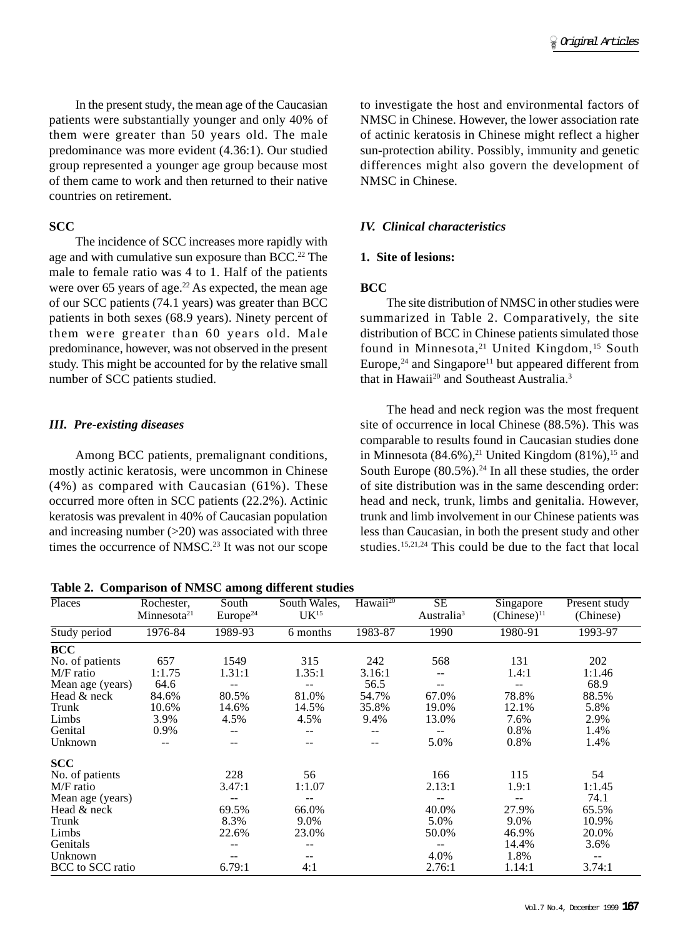In the present study, the mean age of the Caucasian patients were substantially younger and only 40% of them were greater than 50 years old. The male predominance was more evident (4.36:1). Our studied group represented a younger age group because most of them came to work and then returned to their native countries on retirement.

# **SCC**

The incidence of SCC increases more rapidly with age and with cumulative sun exposure than BCC.<sup>22</sup> The male to female ratio was 4 to 1. Half of the patients were over 65 years of age. $22$  As expected, the mean age of our SCC patients (74.1 years) was greater than BCC patients in both sexes (68.9 years). Ninety percent of them were greater than 60 years old. Male predominance, however, was not observed in the present study. This might be accounted for by the relative small number of SCC patients studied.

# *III. Pre-existing diseases*

Among BCC patients, premalignant conditions, mostly actinic keratosis, were uncommon in Chinese (4%) as compared with Caucasian (61%). These occurred more often in SCC patients (22.2%). Actinic keratosis was prevalent in 40% of Caucasian population and increasing number  $(>20)$  was associated with three times the occurrence of NMSC.<sup>23</sup> It was not our scope

**Table 2. Comparison of NMSC among different studies**

to investigate the host and environmental factors of NMSC in Chinese. However, the lower association rate of actinic keratosis in Chinese might reflect a higher sun-protection ability. Possibly, immunity and genetic differences might also govern the development of NMSC in Chinese.

# *IV. Clinical characteristics*

## **1. Site of lesions:**

## **BCC**

The site distribution of NMSC in other studies were summarized in Table 2. Comparatively, the site distribution of BCC in Chinese patients simulated those found in Minnesota,<sup>21</sup> United Kingdom,<sup>15</sup> South Europe, $24$  and Singapore<sup>11</sup> but appeared different from that in Hawaii<sup>20</sup> and Southeast Australia.<sup>3</sup>

The head and neck region was the most frequent site of occurrence in local Chinese (88.5%). This was comparable to results found in Caucasian studies done in Minnesota  $(84.6\%)$ ,<sup>21</sup> United Kingdom  $(81\%)$ ,<sup>15</sup> and South Europe  $(80.5\%)$ .<sup>24</sup> In all these studies, the order of site distribution was in the same descending order: head and neck, trunk, limbs and genitalia. However, trunk and limb involvement in our Chinese patients was less than Caucasian, in both the present study and other studies.15,21,24 This could be due to the fact that local

| Places           | Rochester,              | South                | South Wales,     | Hawaii <sup>20</sup> | SE                     | Singapore        | Present study |
|------------------|-------------------------|----------------------|------------------|----------------------|------------------------|------------------|---------------|
|                  | Minnesota <sup>21</sup> | Europe <sup>24</sup> | UK <sup>15</sup> |                      | Australia <sup>3</sup> | $(Chinese)^{11}$ | (Chinese)     |
| Study period     | 1976-84                 | 1989-93              | 6 months         | 1983-87              | 1990                   | 1980-91          | 1993-97       |
| <b>BCC</b>       |                         |                      |                  |                      |                        |                  |               |
| No. of patients  | 657                     | 1549                 | 315              | 242                  | 568                    | 131              | 202           |
| M/F ratio        | 1:1.75                  | 1.31:1               | 1.35:1           | 3.16:1               | $-$                    | 1.4:1            | 1:1.46        |
| Mean age (years) | 64.6                    |                      |                  | 56.5                 |                        |                  | 68.9          |
| Head & neck      | 84.6%                   | 80.5%                | 81.0%            | 54.7%                | 67.0%                  | 78.8%            | 88.5%         |
| Trunk            | 10.6%                   | 14.6%                | 14.5%            | 35.8%                | 19.0%                  | 12.1%            | 5.8%          |
| Limbs            | 3.9%                    | 4.5%                 | 4.5%             | 9.4%                 | 13.0%                  | 7.6%             | 2.9%          |
| Genital          | 0.9%                    | --                   |                  |                      |                        | 0.8%             | 1.4%          |
| Unknown          |                         | --                   |                  |                      | 5.0%                   | 0.8%             | 1.4%          |
| <b>SCC</b>       |                         |                      |                  |                      |                        |                  |               |
| No. of patients  |                         | 228                  | 56               |                      | 166                    | 115              | 54            |
| M/F ratio        |                         | 3.47:1               | 1:1.07           |                      | 2.13:1                 | 1.9:1            | 1:1.45        |
| Mean age (years) |                         |                      |                  |                      |                        | --               | 74.1          |
| Head & neck      |                         | 69.5%                | 66.0%            |                      | 40.0%                  | 27.9%            | 65.5%         |
| Trunk            |                         | 8.3%                 | 9.0%             |                      | 5.0%                   | 9.0%             | 10.9%         |
| Limbs            |                         | 22.6%                | 23.0%            |                      | 50.0%                  | 46.9%            | 20.0%         |
| Genitals         |                         |                      |                  |                      |                        | 14.4%            | 3.6%          |
| Unknown          |                         |                      |                  |                      | 4.0%                   | 1.8%             | --            |
| BCC to SCC ratio |                         | 6.79:1               | 4:1              |                      | 2.76:1                 | 1.14:1           | 3.74:1        |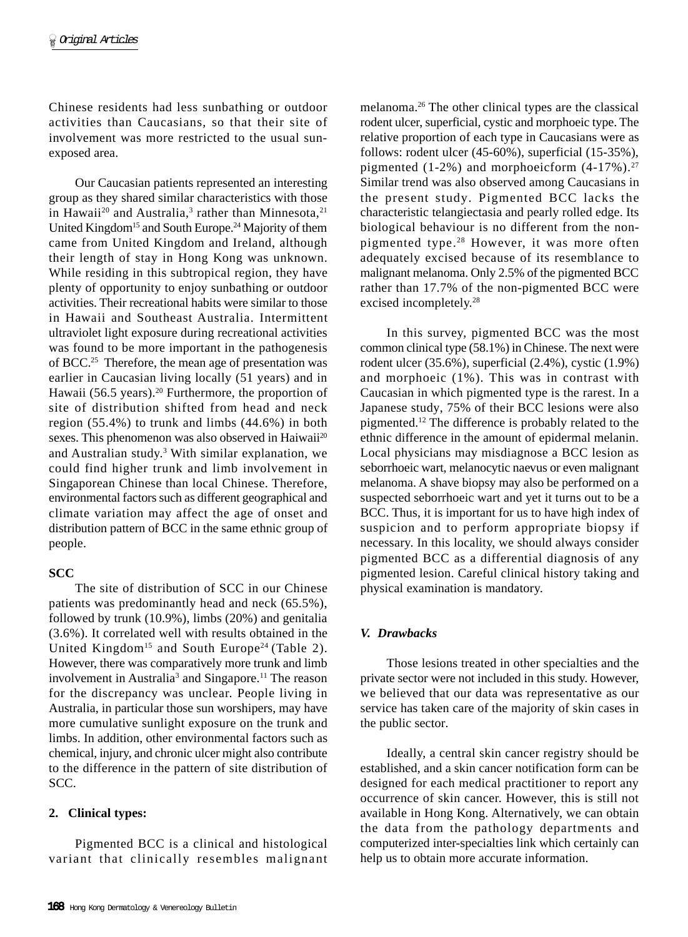Chinese residents had less sunbathing or outdoor activities than Caucasians, so that their site of involvement was more restricted to the usual sunexposed area.

Our Caucasian patients represented an interesting group as they shared similar characteristics with those in Hawaii<sup>20</sup> and Australia,<sup>3</sup> rather than Minnesota,<sup>21</sup> United Kingdom<sup>15</sup> and South Europe.<sup>24</sup> Majority of them came from United Kingdom and Ireland, although their length of stay in Hong Kong was unknown. While residing in this subtropical region, they have plenty of opportunity to enjoy sunbathing or outdoor activities. Their recreational habits were similar to those in Hawaii and Southeast Australia. Intermittent ultraviolet light exposure during recreational activities was found to be more important in the pathogenesis of BCC.25 Therefore, the mean age of presentation was earlier in Caucasian living locally (51 years) and in Hawaii (56.5 years).<sup>20</sup> Furthermore, the proportion of site of distribution shifted from head and neck region (55.4%) to trunk and limbs (44.6%) in both sexes. This phenomenon was also observed in Haiwaii<sup>20</sup> and Australian study.<sup>3</sup> With similar explanation, we could find higher trunk and limb involvement in Singaporean Chinese than local Chinese. Therefore, environmental factors such as different geographical and climate variation may affect the age of onset and distribution pattern of BCC in the same ethnic group of people.

# **SCC**

The site of distribution of SCC in our Chinese patients was predominantly head and neck (65.5%), followed by trunk (10.9%), limbs (20%) and genitalia (3.6%). It correlated well with results obtained in the United Kingdom<sup>15</sup> and South Europe<sup>24</sup> (Table 2). However, there was comparatively more trunk and limb involvement in Australia<sup>3</sup> and Singapore.<sup>11</sup> The reason for the discrepancy was unclear. People living in Australia, in particular those sun worshipers, may have more cumulative sunlight exposure on the trunk and limbs. In addition, other environmental factors such as chemical, injury, and chronic ulcer might also contribute to the difference in the pattern of site distribution of SCC.

# **2. Clinical types:**

Pigmented BCC is a clinical and histological variant that clinically resembles malignant melanoma.26 The other clinical types are the classical rodent ulcer, superficial, cystic and morphoeic type. The relative proportion of each type in Caucasians were as follows: rodent ulcer (45-60%), superficial (15-35%), pigmented (1-2%) and morphoeicform  $(4-17%)$ .<sup>27</sup> Similar trend was also observed among Caucasians in the present study. Pigmented BCC lacks the characteristic telangiectasia and pearly rolled edge. Its biological behaviour is no different from the nonpigmented type.28 However, it was more often adequately excised because of its resemblance to malignant melanoma. Only 2.5% of the pigmented BCC rather than 17.7% of the non-pigmented BCC were excised incompletely.28

In this survey, pigmented BCC was the most common clinical type (58.1%) in Chinese. The next were rodent ulcer (35.6%), superficial (2.4%), cystic (1.9%) and morphoeic (1%). This was in contrast with Caucasian in which pigmented type is the rarest. In a Japanese study, 75% of their BCC lesions were also pigmented.12 The difference is probably related to the ethnic difference in the amount of epidermal melanin. Local physicians may misdiagnose a BCC lesion as seborrhoeic wart, melanocytic naevus or even malignant melanoma. A shave biopsy may also be performed on a suspected seborrhoeic wart and yet it turns out to be a BCC. Thus, it is important for us to have high index of suspicion and to perform appropriate biopsy if necessary. In this locality, we should always consider pigmented BCC as a differential diagnosis of any pigmented lesion. Careful clinical history taking and physical examination is mandatory.

# *V. Drawbacks*

Those lesions treated in other specialties and the private sector were not included in this study. However, we believed that our data was representative as our service has taken care of the majority of skin cases in the public sector.

Ideally, a central skin cancer registry should be established, and a skin cancer notification form can be designed for each medical practitioner to report any occurrence of skin cancer. However, this is still not available in Hong Kong. Alternatively, we can obtain the data from the pathology departments and computerized inter-specialties link which certainly can help us to obtain more accurate information.